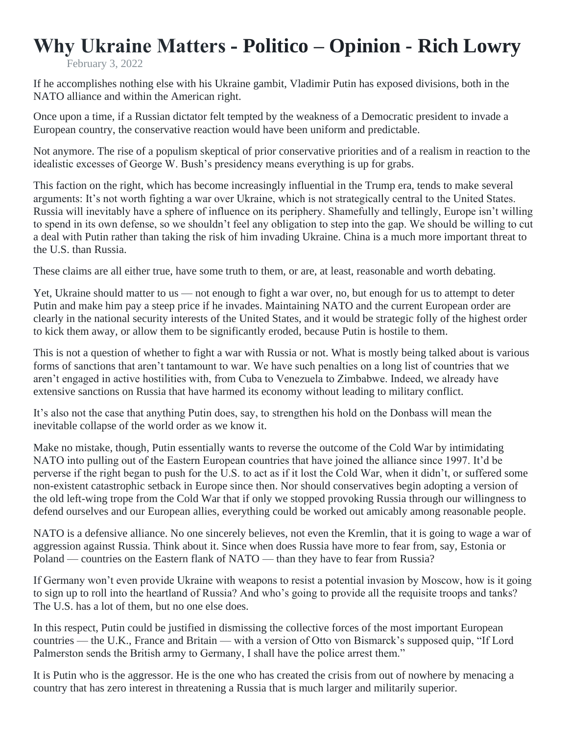## **Why Ukraine Matters - Politico – Opinion - Rich Lowry**

February 3, 2022

If he accomplishes nothing else with his Ukraine gambit, Vladimir Putin has exposed divisions, both in the NATO alliance and within the American right.

Once upon a time, if a Russian dictator felt tempted by the weakness of a Democratic president to invade a European country, the conservative reaction would have been uniform and predictable.

Not anymore. The rise of a populism skeptical of prior conservative priorities and of a realism in reaction to the idealistic excesses of George W. Bush's presidency means everything is up for grabs.

This faction on the right, which has become increasingly influential in the Trump era, tends to make several arguments: It's not worth fighting a war over Ukraine, which is not strategically central to the United States. Russia will inevitably have a sphere of influence on its periphery. Shamefully and tellingly, Europe isn't willing to spend in its own defense, so we shouldn't feel any obligation to step into the gap. We should be willing to cut a deal with Putin rather than taking the risk of him invading Ukraine. China is a much more important threat to the U.S. than Russia.

These claims are all either true, have some truth to them, or are, at least, reasonable and worth debating.

Yet, Ukraine should matter to us — not enough to fight a war over, no, but enough for us to attempt to deter Putin and make him pay a steep price if he invades. Maintaining NATO and the current European order are clearly in the national security interests of the United States, and it would be strategic folly of the highest order to kick them away, or allow them to be significantly eroded, because Putin is hostile to them.

This is not a question of whether to fight a war with Russia or not. What is mostly being talked about is various forms of sanctions that aren't tantamount to war. We have such penalties on a long list of countries that we aren't engaged in active hostilities with, from Cuba to Venezuela to Zimbabwe. Indeed, we already have extensive sanctions on Russia that have harmed its economy without leading to military conflict.

It's also not the case that anything Putin does, say, to strengthen his hold on the Donbass will mean the inevitable collapse of the world order as we know it.

Make no mistake, though, Putin essentially wants to reverse the outcome of the Cold War by intimidating NATO into pulling out of the Eastern European countries that have joined the alliance since 1997. It'd be perverse if the right began to push for the U.S. to act as if it lost the Cold War, when it didn't, or suffered some non-existent catastrophic setback in Europe since then. Nor should conservatives begin adopting a version of the old left-wing trope from the Cold War that if only we stopped provoking Russia through our willingness to defend ourselves and our European allies, everything could be worked out amicably among reasonable people.

NATO is a defensive alliance. No one sincerely believes, not even the Kremlin, that it is going to wage a war of aggression against Russia. Think about it. Since when does Russia have more to fear from, say, Estonia or Poland — countries on the Eastern flank of NATO — than they have to fear from Russia?

If Germany won't even provide Ukraine with weapons to resist a potential invasion by Moscow, how is it going to sign up to roll into the heartland of Russia? And who's going to provide all the requisite troops and tanks? The U.S. has a lot of them, but no one else does.

In this respect, Putin could be justified in dismissing the collective forces of the most important European countries — the U.K., France and Britain — with a version of Otto von Bismarck's supposed quip, "If Lord Palmerston sends the British army to Germany, I shall have the police arrest them."

It is Putin who is the aggressor. He is the one who has created the crisis from out of nowhere by menacing a country that has zero interest in threatening a Russia that is much larger and militarily superior.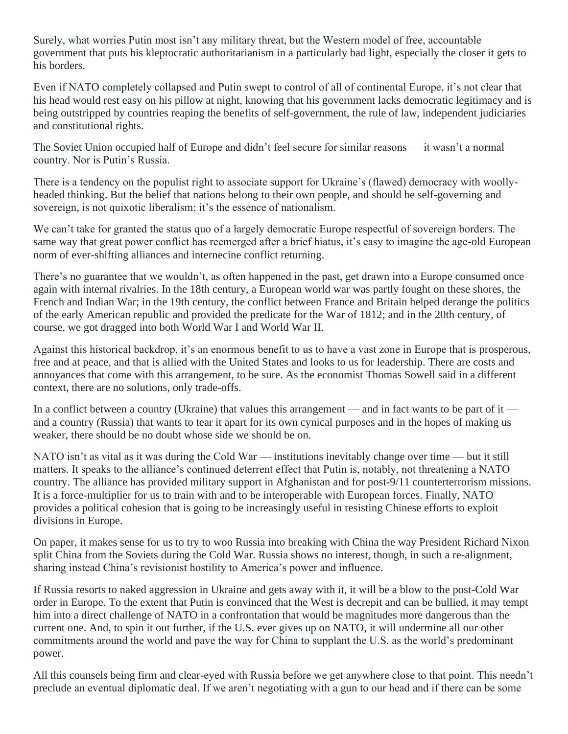Surely, what worries Putin most isn't any military threat, but the Western model of free, accountable government that puts his kleptocratic authoritarianism in a particularly bad light, especially the closer it gets to his borders.

Even if NATO completely collapsed and Putin swept to control of all of continental Europe, it's not clear that his head would rest easy on his pillow at night, knowing that his government lacks democratic legitimacy and is being outstripped by countries reaping the benefits of self-government, the rule of law, independent judiciaries and constitutional rights.

The Soviet Union occupied half of Europe and didn't feel secure for similar reasons — it wasn't a normal country. Nor is Putin's Russia.

There is a tendency on the populist right to associate support for Ukraine's (flawed) democracy with woollyheaded thinking. But the belief that nations belong to their own people, and should be self-governing and sovereign, is not quixotic liberalism; it's the essence of nationalism.

We can't take for granted the status quo of a largely democratic Europe respectful of sovereign borders. The same way that great power conflict has reemerged after a brief hiatus, it's easy to imagine the age-old European norm of ever-shifting alliances and internecine conflict returning.

There's no guarantee that we wouldn't, as often happened in the past, get drawn into a Europe consumed once again with internal rivalries. In the 18th century, a European world war was partly fought on these shores, the French and Indian War; in the 19th century, the conflict between France and Britain helped derange the politics of the early American republic and provided the predicate for the War of 1812; and in the 20th century, of course, we got dragged into both World War I and World War II.

Against this historical backdrop, it's an enormous benefit to us to have a vast zone in Europe that is prosperous, free and at peace, and that is allied with the United States and looks to us for leadership. There are costs and annoyances that come with this arrangement, to be sure. As the economist Thomas Sowell said in a different context, there are no solutions, only trade-offs.

In a conflict between a country (Ukraine) that values this arrangement — and in fact wants to be part of it and a country (Russia) that wants to tear it apart for its own cynical purposes and in the hopes of making us weaker, there should be no doubt whose side we should be on.

NATO isn't as vital as it was during the Cold War — institutions inevitably change over time — but it still matters. It speaks to the alliance's continued deterrent effect that Putin is, notably, not threatening a NATO country. The alliance has provided military support in Afghanistan and for post-9/11 counterterrorism missions. It is a force-multiplier for us to train with and to be interoperable with European forces. Finally, NATO provides a political cohesion that is going to be increasingly useful in resisting Chinese efforts to exploit divisions in Europe.

On paper, it makes sense for us to try to woo Russia into breaking with China the way President Richard Nixon split China from the Soviets during the Cold War. Russia shows no interest, though, in such a re-alignment, sharing instead China's revisionist hostility to America's power and influence.

If Russia resorts to naked aggression in Ukraine and gets away with it, it will be a blow to the post-Cold War order in Europe. To the extent that Putin is convinced that the West is decrepit and can be bullied, it may tempt him into a direct challenge of NATO in a confrontation that would be magnitudes more dangerous than the current one. And, to spin it out further, if the U.S. ever gives up on NATO, it will undermine all our other commitments around the world and pave the way for China to supplant the U.S. as the world's predominant power.

All this counsels being firm and clear-eyed with Russia before we get anywhere close to that point. This needn't preclude an eventual diplomatic deal. If we aren't negotiating with a gun to our head and if there can be some